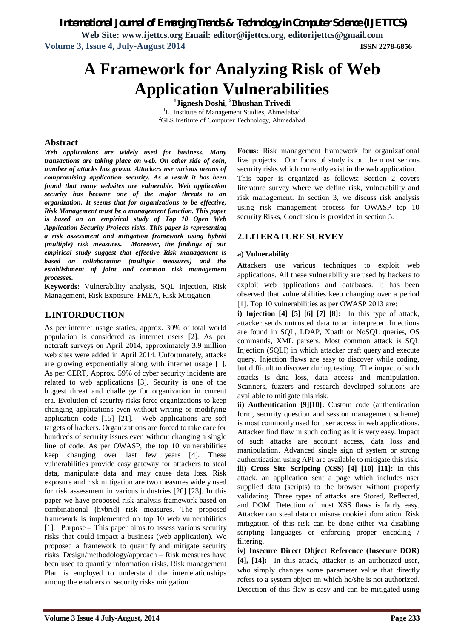*International Journal of Emerging Trends & Technology in Computer Science (IJETTCS)*

**Web Site: www.ijettcs.org Email: editor@ijettcs.org, editorijettcs@gmail.com Volume 3, Issue 4, July-August 2014 ISSN 2278-6856**

# **A Framework for Analyzing Risk of Web Application Vulnerabilities**

**1 Jignesh Doshi, <sup>2</sup>Bhushan Trivedi** <sup>1</sup>LJ Institute of Management Studies, Ahmedabad <sup>2</sup>GLS Institute of Computer Technology, Ahmedabad

### **Abstract**

*Web applications are widely used for business. Many transactions are taking place on web. On other side of coin, number of attacks has grown. Attackers use various means of compromising application security. As a result it has been found that many websites are vulnerable. Web application security has become one of the major threats to an organization. It seems that for organizations to be effective, Risk Management must be a management function. This paper is based on an empirical study of Top 10 Open Web Application Security Projects risks. This paper is representing a risk assessment and mitigation framework using hybrid (multiple) risk measures. Moreover, the findings of our empirical study suggest that effective Risk management is based on collaboration (multiple measures) and the establishment of joint and common risk management processes.*

**Keywords:** Vulnerability analysis, SQL Injection, Risk Management, Risk Exposure, FMEA, Risk Mitigation

# **1.INTORDUCTION**

As per internet usage statics, approx. 30% of total world population is considered as internet users [2]. As per netcraft surveys on April 2014, approximately 3.9 million web sites were added in April 2014. Unfortunately, attacks are growing exponentially along with internet usage [1]. As per CERT, Approx. 59% of cyber security incidents are related to web applications [3]. Security is one of the biggest threat and challenge for organization in current era. Evolution of security risks force organizations to keep changing applications even without writing or modifying application code [15] [21]. Web applications are soft targets of hackers. Organizations are forced to take care for hundreds of security issues even without changing a single line of code. As per OWASP, the top 10 vulnerabilities keep changing over last few years [4]. These vulnerabilities provide easy gateway for attackers to steal data, manipulate data and may cause data loss. Risk exposure and risk mitigation are two measures widely used for risk assessment in various industries [20] [23]. In this paper we have proposed risk analysis framework based on combinational (hybrid) risk measures. The proposed framework is implemented on top 10 web vulnerabilities [1]. Purpose – This paper aims to assess various security risks that could impact a business (web application). We proposed a framework to quantify and mitigate security risks. Design/methodology/approach – Risk measures have been used to quantify information risks. Risk management Plan is employed to understand the interrelationships among the enablers of security risks mitigation.

**Focus:** Risk management framework for organizational live projects. Our focus of study is on the most serious security risks which currently exist in the web application. This paper is organized as follows: Section 2 covers literature survey where we define risk, vulnerability and risk management. In section 3, we discuss risk analysis using risk management process for OWASP top 10 security Risks, Conclusion is provided in section 5.

# **2.LITERATURE SURVEY**

### **a) Vulnerability**

Attackers use various techniques to exploit web applications. All these vulnerability are used by hackers to exploit web applications and databases. It has been observed that vulnerabilities keep changing over a period [1]. Top 10 vulnerabilities as per OWASP 2013 are:

**i) Injection [4] [5] [6] [7] [8]:** In this type of attack, attacker sends untrusted data to an interpreter. Injections are found in SQL, LDAP, Xpath or NoSQL queries, OS commands, XML parsers. Most common attack is SQL Injection (SQLI) in which attacker craft query and execute query. Injection flaws are easy to discover while coding, but difficult to discover during testing. The impact of such attacks is data loss, data access and manipulation. Scanners, fuzzers and research developed solutions are available to mitigate this risk.

**ii) Authentication [9][10]:** Custom code (authentication form, security question and session management scheme) is most commonly used for user access in web applications. Attacker find flaw in such coding as it is very easy. Impact of such attacks are account access, data loss and manipulation. Advanced single sign of system or strong authentication using API are available to mitigate this risk. **iii) Cross Site Scripting (XSS) [4] [10] [11]:** In this attack, an application sent a page which includes user supplied data (scripts) to the browser without properly validating. Three types of attacks are Stored, Reflected, and DOM. Detection of most XSS flaws is fairly easy. Attacker can steal data or misuse cookie information. Risk mitigation of this risk can be done either via disabling scripting languages or enforcing proper encoding / filtering.

**iv) Insecure Direct Object Reference (Insecure DOR) [4], [14]:** In this attack, attacker is an authorized user, who simply changes some parameter value that directly refers to a system object on which he/she is not authorized. Detection of this flaw is easy and can be mitigated using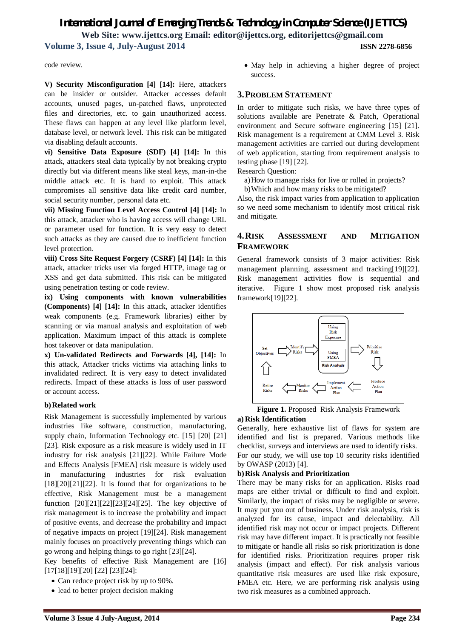# *International Journal of Emerging Trends & Technology in Computer Science (IJETTCS)* **Web Site: www.ijettcs.org Email: editor@ijettcs.org, editorijettcs@gmail.com Volume 3, Issue 4, July-August 2014 ISSN 2278-6856**

code review.

**V) Security Misconfiguration [4] [14]:** Here, attackers can be insider or outsider. Attacker accesses default accounts, unused pages, un-patched flaws, unprotected files and directories, etc. to gain unauthorized access. These flaws can happen at any level like platform level, database level, or network level. This risk can be mitigated via disabling default accounts.

**vi) Sensitive Data Exposure (SDF) [4] [14]:** In this attack, attackers steal data typically by not breaking crypto directly but via different means like steal keys, man-in-the middle attack etc. It is hard to exploit. This attack compromises all sensitive data like credit card number, social security number, personal data etc.

**vii) Missing Function Level Access Control [4] [14]:** In this attack, attacker who is having access will change URL or parameter used for function. It is very easy to detect such attacks as they are caused due to inefficient function level protection.

**viii) Cross Site Request Forgery (CSRF) [4] [14]:** In this attack, attacker tricks user via forged HTTP, image tag or XSS and get data submitted. This risk can be mitigated using penetration testing or code review.

**ix) Using components with known vulnerabilities (Components) [4] [14]:** In this attack, attacker identifies weak components (e.g. Framework libraries) either by scanning or via manual analysis and exploitation of web application. Maximum impact of this attack is complete host takeover or data manipulation.

**x) Un-validated Redirects and Forwards [4], [14]:** In this attack, Attacker tricks victims via attaching links to invalidated redirect. It is very easy to detect invalidated redirects. Impact of these attacks is loss of user password or account access.

#### **b)Related work**

Risk Management is successfully implemented by various industries like software, construction, manufacturing, supply chain, Information Technology etc. [15] [20] [21] [23]. Risk exposure as a risk measure is widely used in IT industry for risk analysis [21][22]. While Failure Mode and Effects Analysis [FMEA] risk measure is widely used in manufacturing industries for risk evaluation  $[18][20][21][22]$ . It is found that for organizations to be effective, Risk Management must be a management function [20][21][22][23][24][25]. The key objective of risk management is to increase the probability and impact of positive events, and decrease the probability and impact of negative impacts on project [19][24]. Risk management mainly focuses on proactively preventing things which can go wrong and helping things to go right [23][24].

Key benefits of effective Risk Management are [16] [17[18][19][20] [22] [23][24]:

- Can reduce project risk by up to 90%.
- lead to better project decision making

 May help in achieving a higher degree of project success.

#### **3.PROBLEM STATEMENT**

In order to mitigate such risks, we have three types of solutions available are Penetrate & Patch, Operational environment and Secure software engineering [15] [21]. Risk management is a requirement at CMM Level 3. Risk management activities are carried out during development of web application, starting from requirement analysis to testing phase [19] [22].

Research Question:

a)How to manage risks for live or rolled in projects?

b)Which and how many risks to be mitigated?

Also, the risk impact varies from application to application so we need some mechanism to identify most critical risk and mitigate.

## **4.RISK ASSESSMENT AND MITIGATION FRAMEWORK**

General framework consists of 3 major activities: Risk management planning, assessment and tracking[19][22]. Risk management activities flow is sequential and iterative. Figure 1 show most proposed risk analysis framework[19][22].



**Figure 1.** Proposed Risk Analysis Framework

**a) Risk Identification** 

Generally, here exhaustive list of flaws for system are identified and list is prepared. Various methods like checklist, surveys and interviews are used to identify risks. For our study, we will use top 10 security risks identified by OWASP (2013) [4].

#### **b)Risk Analysis and Prioritization**

There may be many risks for an application. Risks road maps are either trivial or difficult to find and exploit. Similarly, the impact of risks may be negligible or severe. It may put you out of business. Under risk analysis, risk is analyzed for its cause, impact and delectability. All identified risk may not occur or impact projects. Different risk may have different impact. It is practically not feasible to mitigate or handle all risks so risk prioritization is done for identified risks. Prioritization requires proper risk analysis (impact and effect). For risk analysis various quantitative risk measures are used like risk exposure, FMEA etc. Here, we are performing risk analysis using two risk measures as a combined approach.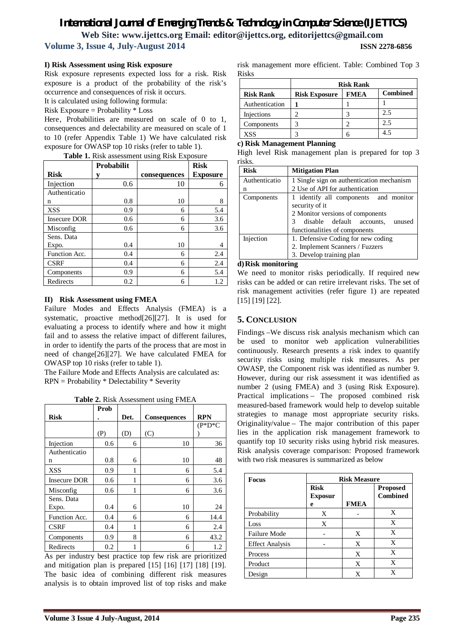# *International Journal of Emerging Trends & Technology in Computer Science (IJETTCS)* **Web Site: www.ijettcs.org Email: editor@ijettcs.org, editorijettcs@gmail.com Volume 3, Issue 4, July-August 2014 ISSN 2278-6856**

#### **I) Risk Assessment using Risk exposure**

Risk exposure represents expected loss for a risk. Risk exposure is a product of the probability of the risk's occurrence and consequences of risk it occurs.

It is calculated using following formula:

Risk Exposure = Probability \* Loss

Here, Probabilities are measured on scale of 0 to 1, consequences and delectability are measured on scale of 1 to 10 (refer Appendix Table 1) We have calculated risk exposure for OWASP top 10 risks (refer to table 1).

|                     | Probabilit |              | <b>Risk</b>     |
|---------------------|------------|--------------|-----------------|
| <b>Risk</b>         | V          | consequences | <b>Exposure</b> |
| Injection           | 0.6        | 10           | 6               |
| Authenticatio       |            |              |                 |
| n                   | 0.8        | 10           | 8               |
| <b>XSS</b>          | 0.9        | 6            | 5.4             |
| <b>Insecure DOR</b> | 0.6        | 6            | 3.6             |
| Misconfig           | 0.6        | 6            | 3.6             |
| Sens. Data          |            |              |                 |
| Expo.               | 0.4        | 10           |                 |
| Function Acc.       | 0.4        | 6            | 2.4             |
| <b>CSRF</b>         | 0.4        | 6            | 2.4             |
| Components          | 0.9        | 6            | 5.4             |
| Redirects           | 0.2        | 6            | 1.2             |

#### **II) Risk Assessment using FMEA**

Failure Modes and Effects Analysis (FMEA) is a systematic, proactive method[26][27]. It is used for evaluating a process to identify where and how it might fail and to assess the relative impact of different failures, in order to identify the parts of the process that are most in need of change[26][27]. We have calculated FMEA for OWASP top 10 risks (refer to table 1).

The Failure Mode and Effects Analysis are calculated as: RPN = Probability \* Delectability \* Severity

**Table 2.** Risk Assessment using FMEA

|                     |      |      | c                   |            |
|---------------------|------|------|---------------------|------------|
|                     | Prob |      |                     |            |
| <b>Risk</b>         |      | Det. | <b>Consequences</b> | <b>RPN</b> |
|                     |      |      |                     | $(P*D*C)$  |
|                     | (P)  | (D)  | (C)                 |            |
| Injection           | 0.6  | 6    | 10                  | 36         |
| Authenticatio       |      |      |                     |            |
| n                   | 0.8  | 6    | 10                  | 48         |
| <b>XSS</b>          | 0.9  | 1    | 6                   | 5.4        |
| <b>Insecure DOR</b> | 0.6  | 1    | 6                   | 3.6        |
| Misconfig           | 0.6  | 1    | 6                   | 3.6        |
| Sens. Data          |      |      |                     |            |
| Expo.               | 0.4  | 6    | 10                  | 24         |
| Function Acc.       | 0.4  | 6    | 6                   | 14.4       |
| <b>CSRF</b>         | 0.4  | 1    | 6                   | 2.4        |
| Components          | 0.9  | 8    | 6                   | 43.2       |
| Redirects           | 0.2  |      | 6                   | 1.2        |

As per industry best practice top few risk are prioritized and mitigation plan is prepared [15] [16] [17] [18] [19]. The basic idea of combining different risk measures analysis is to obtain improved list of top risks and make risk management more efficient. Table: Combined Top 3 Risks

|                  | <b>Risk Rank</b>     |             |                 |
|------------------|----------------------|-------------|-----------------|
| <b>Risk Rank</b> | <b>Risk Exposure</b> | <b>FMEA</b> | <b>Combined</b> |
| Authentication   |                      |             |                 |
| Injections       |                      |             | 2.5             |
| Components       |                      |             | 2.5             |
| XSS              |                      |             |                 |

#### **c) Risk Management Planning**

High level Risk management plan is prepared for top 3 risks.

| <b>Risk</b>   | <b>Mitigation Plan</b>                                                                                                                                                |  |
|---------------|-----------------------------------------------------------------------------------------------------------------------------------------------------------------------|--|
| Authenticatio | 1 Single sign on authentication mechanism                                                                                                                             |  |
| n             | 2 Use of API for authentication                                                                                                                                       |  |
| Components    | 1 identify all components and monitor<br>security of it<br>2 Monitor versions of components<br>3 disable default accounts,<br>unused<br>functionalities of components |  |
| Injection     | 1. Defensive Coding for new coding                                                                                                                                    |  |
|               | 2. Implement Scanners / Fuzzers                                                                                                                                       |  |
|               | 3. Develop training plan                                                                                                                                              |  |

#### **d)Risk monitoring**

We need to monitor risks periodically. If required new risks can be added or can retire irrelevant risks. The set of risk management activities (refer figure 1) are repeated [15] [19] [22].

#### **5. CONCLUSION**

Findings –We discuss risk analysis mechanism which can be used to monitor web application vulnerabilities continuously. Research presents a risk index to quantify security risks using multiple risk measures. As per OWASP, the Component risk was identified as number 9. However, during our risk assessment it was identified as number 2 (using FMEA) and 3 (using Risk Exposure). Practical implications – The proposed combined risk measured-based framework would help to develop suitable strategies to manage most appropriate security risks. Originality/value – The major contribution of this paper lies in the application risk management framework to quantify top 10 security risks using hybrid risk measures. Risk analysis coverage comparison: Proposed framework with two risk measures is summarized as below

| Focus                  |                               | <b>Risk Measure</b> |                                    |  |
|------------------------|-------------------------------|---------------------|------------------------------------|--|
|                        | <b>Risk</b><br><b>Exposur</b> |                     | <b>Proposed</b><br><b>Combined</b> |  |
|                        | e                             | <b>FMEA</b>         |                                    |  |
| Probability            | X                             |                     | X                                  |  |
| Loss                   | X                             |                     | X                                  |  |
| <b>Failure Mode</b>    |                               | X                   | X                                  |  |
| <b>Effect Analysis</b> |                               | X                   | X                                  |  |
| Process                |                               | X                   | X                                  |  |
| Product                |                               | X                   | X                                  |  |
| Design                 |                               | X                   | X                                  |  |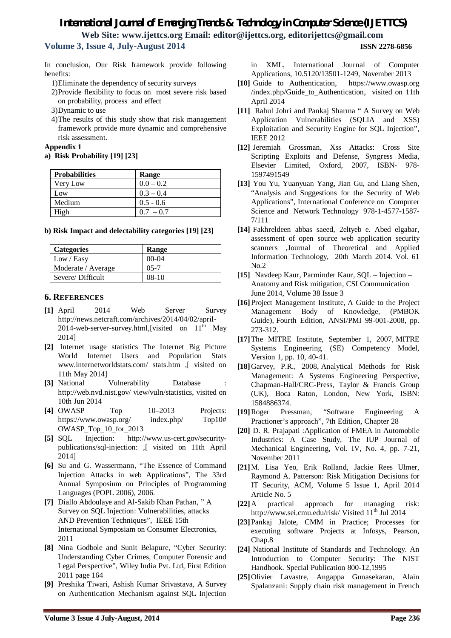# *International Journal of Emerging Trends & Technology in Computer Science (IJETTCS)* **Web Site: www.ijettcs.org Email: editor@ijettcs.org, editorijettcs@gmail.com**

**Volume 3, Issue 4, July-August 2014 ISSN 2278-6856**

In conclusion, Our Risk framework provide following benefits:

- 1)Eliminate the dependency of security surveys
- 2)Provide flexibility to focus on most severe risk based on probability, process and effect
- 3)Dynamic to use
- 4)The results of this study show that risk management framework provide more dynamic and comprehensive risk assessment.

**Appendix 1**

#### **a) Risk Probability [19] [23]**

| <b>Probabilities</b> | Range       |
|----------------------|-------------|
| Very Low             | $0.0 - 0.2$ |
| Low                  | $0.3 - 0.4$ |
| Medium               | $0.5 - 0.6$ |
| High                 | $0.7 - 0.7$ |

#### **b) Risk Impact and delectability categories [19] [23]**

| <b>Categories</b>  | Range    |
|--------------------|----------|
| Low / Easy         | $00-04$  |
| Moderate / Average | $05 - 7$ |
| Severe/Difficult   | $08-10$  |

### **6. REFERENCES**

- **[1]** April 2014 Web Server Survey http://news.netcraft.com/archives/2014/04/02/april-2014-web-server-survey.html, [visited on  $11<sup>th</sup>$  May 2014]
- **[2]** Internet usage statistics The Internet Big Picture World Internet Users and Population Stats www.internetworldstats.com/ stats.htm ,[ visited on 11th May 2014]
- **[3]** National Vulnerability Database http://web.nvd.nist.gov/ view/vuln/statistics, visited on 10th Jun 2014
- **[4]** OWASP Top 10–2013 Projects: https://www.owasp.org/ index.php/ Top10# OWASP\_Top\_10\_for\_2013
- **[5]** SQL Injection: http://www.us-cert.gov/securitypublications/sql-injection: ,[ visited on 11th April 2014]
- **[6]** Su and G. Wassermann, "The Essence of Command Injection Attacks in web Applications", The 33rd Annual Symposium on Principles of Programming Languages (POPL 2006), 2006.
- **[7]** Diallo Abdoulaye and Al-Sakib Khan Pathan, " A Survey on SQL Injection: Vulnerabilities, attacks AND Prevention Techniques", IEEE 15th International Symposiam on Consumer Electronics, 2011
- **[8]** Nina Godbole and Sunit Belapure, "Cyber Security: Understanding Cyber Crimes, Computer Forensic and Legal Perspective", Wiley India Pvt. Ltd, First Edition 2011 page 164
- **[9]** Preshika Tiwari, Ashish Kumar Srivastava, A Survey on Authentication Mechanism against SQL Injection

in XML, International Journal of Computer Applications, 10.5120/13501-1249, November 2013

- **[10]** Guide to Authentication, https://www.owasp.org /index.php/Guide\_to\_Authentication, visited on 11th April 2014
- **[11]** Rahul Johri and Pankaj Sharma " A Survey on Web Application Vulnerabilities (SQLIA and XSS) Exploitation and Security Engine for SQL Injection", IEEE 2012
- **[12]** Jeremiah Grossman, Xss Attacks: Cross Site Scripting Exploits and Defense, Syngress Media, Elsevier Limited, Oxford, 2007, ISBN- 978- 1597491549
- **[13]** You Yu, Yuanyuan Yang, Jian Gu, and Liang Shen, "Analysis and Suggestions for the Security of Web Applications", International Conference on Computer Science and Network Technology 978-1-4577-1587- 7/111
- **[14]** Fakhreldeen abbas saeed, 2eltyeb e. Abed elgabar, assessment of open source web application security scanners ,Journal of Theoretical and Applied Information Technology, 20th March 2014. Vol. 61  $No.2$
- **[15]** Navdeep Kaur, Parminder Kaur, SQL Injection Anatomy and Risk mitigation, CSI Communication June 2014, Volume 38 Issue 3
- **[16]**Project Management Institute, A Guide to the Project Management Body of Knowledge, (PMBOK Guide), Fourth Edition, ANSI/PMI 99-001-2008, pp. 273-312.
- **[17]**The MITRE Institute, September 1, 2007, MITRE Systems Engineering (SE) Competency Model, Version 1, pp. 10, 40-41.
- **[18]**Garvey, P.R., 2008, Analytical Methods for Risk Management: A Systems Engineering Perspective, Chapman-Hall/CRC-Press, Taylor & Francis Group (UK), Boca Raton, London, New York, ISBN: 1584886374.
- **[19]**Roger Pressman, "Software Engineering A Practioner's approach", 7th Edition, Chapter 28
- **[20]** D. R. Prajapati :Application of FMEA in Automobile Industries: A Case Study, The IUP Journal of Mechanical Engineering, Vol. IV, No. 4, pp. 7-21, November 2011
- **[21]**M. Lisa Yeo, Erik Rolland, Jackie Rees Ulmer, Raymond A. Patterson: Risk Mitigation Decisions for IT Security, ACM, Volume 5 Issue 1, April 2014 Article No. 5
- **[22]**A practical approach for managing risk: http://www.sei.cmu.edu/risk/ Visited 11<sup>th</sup> Jul 2014
- **[23]**Pankaj Jalote, CMM in Practice; Processes for executing software Projects at Infosys, Pearson, Chap.8
- **[24]** National Institute of Standards and Technology. An Introduction to Computer Security: The NIST Handbook. Special Publication 800-12,1995
- **[25]**Olivier Lavastre, Angappa Gunasekaran, Alain Spalanzani: Supply chain risk management in French